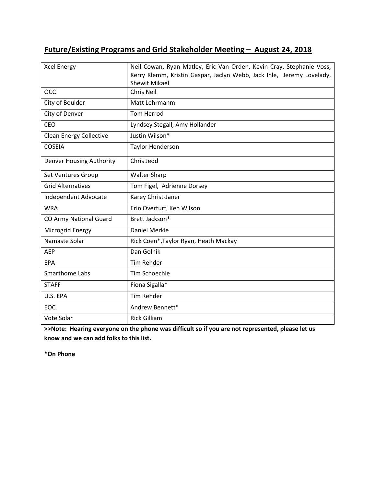# **Future/Existing Programs and Grid Stakeholder Meeting – August 24, 2018**

| <b>Xcel Energy</b>              | Neil Cowan, Ryan Matley, Eric Van Orden, Kevin Cray, Stephanie Voss,<br>Kerry Klemm, Kristin Gaspar, Jaclyn Webb, Jack Ihle, Jeremy Lovelady,<br><b>Shewit Mikael</b> |
|---------------------------------|-----------------------------------------------------------------------------------------------------------------------------------------------------------------------|
| <b>OCC</b>                      | Chris Neil                                                                                                                                                            |
| City of Boulder                 | Matt Lehrmanm                                                                                                                                                         |
| City of Denver                  | <b>Tom Herrod</b>                                                                                                                                                     |
| CEO                             | Lyndsey Stegall, Amy Hollander                                                                                                                                        |
| <b>Clean Energy Collective</b>  | Justin Wilson*                                                                                                                                                        |
| <b>COSEIA</b>                   | <b>Taylor Henderson</b>                                                                                                                                               |
| <b>Denver Housing Authority</b> | Chris Jedd                                                                                                                                                            |
| Set Ventures Group              | <b>Walter Sharp</b>                                                                                                                                                   |
| <b>Grid Alternatives</b>        | Tom Figel, Adrienne Dorsey                                                                                                                                            |
| Independent Advocate            | Karey Christ-Janer                                                                                                                                                    |
| <b>WRA</b>                      | Erin Overturf, Ken Wilson                                                                                                                                             |
| CO Army National Guard          | Brett Jackson*                                                                                                                                                        |
| Microgrid Energy                | <b>Daniel Merkle</b>                                                                                                                                                  |
| Namaste Solar                   | Rick Coen*, Taylor Ryan, Heath Mackay                                                                                                                                 |
| <b>AEP</b>                      | Dan Golnik                                                                                                                                                            |
| EPA                             | <b>Tim Rehder</b>                                                                                                                                                     |
| Smarthome Labs                  | Tim Schoechle                                                                                                                                                         |
| <b>STAFF</b>                    | Fiona Sigalla*                                                                                                                                                        |
| U.S. EPA                        | <b>Tim Rehder</b>                                                                                                                                                     |
| EOC                             | Andrew Bennett*                                                                                                                                                       |
| Vote Solar                      | <b>Rick Gilliam</b>                                                                                                                                                   |

**>>Note: Hearing everyone on the phone was difficult so if you are not represented, please let us know and we can add folks to this list.** 

**\*On Phone**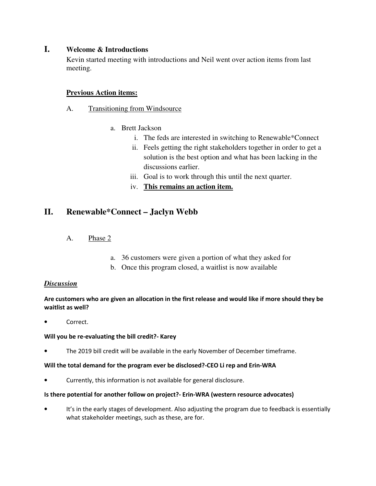# **I. Welcome & Introductions**

Kevin started meeting with introductions and Neil went over action items from last meeting.

### **Previous Action items:**

- A. Transitioning from Windsource
	- a. Brett Jackson
		- i. The feds are interested in switching to Renewable\*Connect
		- ii. Feels getting the right stakeholders together in order to get a solution is the best option and what has been lacking in the discussions earlier.
		- iii. Goal is to work through this until the next quarter.
		- iv. **This remains an action item.**

# **II. Renewable\*Connect – Jaclyn Webb**

#### A. Phase 2

- a. 36 customers were given a portion of what they asked for
- b. Once this program closed, a waitlist is now available

#### *Discussion*

**Are customers who are given an allocation in the first release and would like if more should they be waitlist as well?** 

Correct.

#### **Will you be re-evaluating the bill credit?- Karey**

• The 2019 bill credit will be available in the early November of December timeframe.

#### **Will the total demand for the program ever be disclosed?-CEO Li rep and Erin-WRA**

• Currently, this information is not available for general disclosure.

#### **Is there potential for another follow on project?- Erin-WRA (western resource advocates)**

It's in the early stages of development. Also adjusting the program due to feedback is essentially what stakeholder meetings, such as these, are for.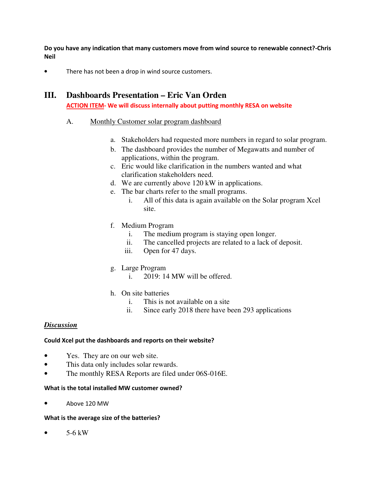**Do you have any indication that many customers move from wind source to renewable connect?-Chris Neil**

There has not been a drop in wind source customers.

# **III. Dashboards Presentation – Eric Van Orden**

**ACTION ITEM- We will discuss internally about putting monthly RESA on website**

- A. Monthly Customer solar program dashboard
	- a. Stakeholders had requested more numbers in regard to solar program.
	- b. The dashboard provides the number of Megawatts and number of applications, within the program.
	- c. Eric would like clarification in the numbers wanted and what clarification stakeholders need.
	- d. We are currently above 120 kW in applications.
	- e. The bar charts refer to the small programs.
		- i. All of this data is again available on the Solar program Xcel site.
	- f. Medium Program
		- i. The medium program is staying open longer.
		- ii. The cancelled projects are related to a lack of deposit.
		- iii. Open for 47 days.
	- g. Large Program
		- i. 2019: 14 MW will be offered.
	- h. On site batteries
		- i. This is not available on a site
		- ii. Since early 2018 there have been 293 applications

#### *Discussion*

#### **Could Xcel put the dashboards and reports on their website?**

- Yes. They are on our web site.
- This data only includes solar rewards.
- The monthly RESA Reports are filed under 06S-016E.

#### **What is the total installed MW customer owned?**

• Above 120 MW

#### **What is the average size of the batteries?**

 $\bullet$  5-6 kW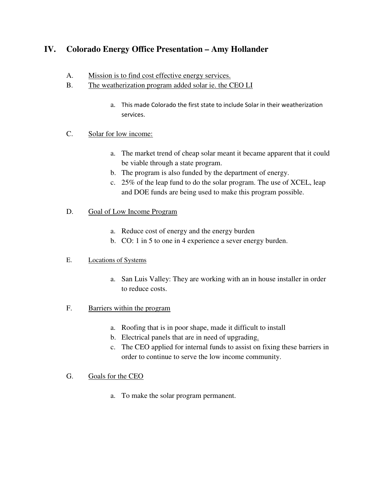# **IV. Colorado Energy Office Presentation – Amy Hollander**

- A. Mission is to find cost effective energy services.
- B. The weatherization program added solar ie. the CEO LI
	- a. This made Colorado the first state to include Solar in their weatherization services.
- C. Solar for low income:
	- a. The market trend of cheap solar meant it became apparent that it could be viable through a state program.
	- b. The program is also funded by the department of energy.
	- c. 25% of the leap fund to do the solar program. The use of XCEL, leap and DOE funds are being used to make this program possible.

### D. Goal of Low Income Program

- a. Reduce cost of energy and the energy burden
- b. CO: 1 in 5 to one in 4 experience a sever energy burden.

#### E. Locations of Systems

- a. San Luis Valley: They are working with an in house installer in order to reduce costs.
- F. Barriers within the program
	- a. Roofing that is in poor shape, made it difficult to install
	- b. Electrical panels that are in need of upgrading.
	- c. The CEO applied for internal funds to assist on fixing these barriers in order to continue to serve the low income community.

#### G. Goals for the CEO

a. To make the solar program permanent.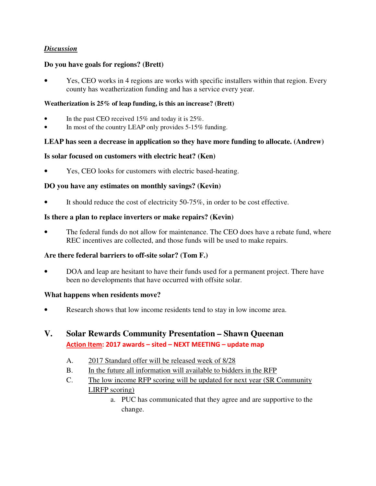### **Do you have goals for regions? (Brett)**

• Yes, CEO works in 4 regions are works with specific installers within that region. Every county has weatherization funding and has a service every year.

#### **Weatherization is 25% of leap funding, is this an increase? (Brett)**

- In the past CEO received 15% and today it is 25%.
- In most of the country LEAP only provides 5-15% funding.

# **LEAP has seen a decrease in application so they have more funding to allocate. (Andrew)**

### **Is solar focused on customers with electric heat? (Ken)**

• Yes, CEO looks for customers with electric based-heating.

### **DO you have any estimates on monthly savings? (Kevin)**

It should reduce the cost of electricity 50-75%, in order to be cost effective.

### **Is there a plan to replace inverters or make repairs? (Kevin)**

The federal funds do not allow for maintenance. The CEO does have a rebate fund, where REC incentives are collected, and those funds will be used to make repairs.

#### **Are there federal barriers to off-site solar? (Tom F.)**

• DOA and leap are hesitant to have their funds used for a permanent project. There have been no developments that have occurred with offsite solar.

#### **What happens when residents move?**

• Research shows that low income residents tend to stay in low income area.

# **V. Solar Rewards Community Presentation – Shawn Queenan Action Item: 2017 awards – sited – NEXT MEETING – update map**

- A. 2017 Standard offer will be released week of 8/28
- B. In the future all information will available to bidders in the RFP
- C. The low income RFP scoring will be updated for next year (SR Community LIRFP scoring)
	- a. PUC has communicated that they agree and are supportive to the change.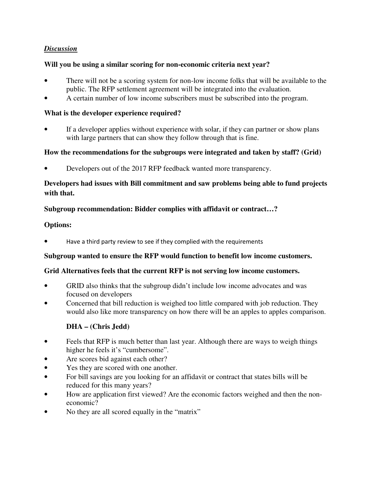### **Will you be using a similar scoring for non-economic criteria next year?**

- There will not be a scoring system for non-low income folks that will be available to the public. The RFP settlement agreement will be integrated into the evaluation.
- A certain number of low income subscribers must be subscribed into the program.

### **What is the developer experience required?**

If a developer applies without experience with solar, if they can partner or show plans with large partners that can show they follow through that is fine.

# **How the recommendations for the subgroups were integrated and taken by staff? (Grid)**

• Developers out of the 2017 RFP feedback wanted more transparency.

# **Developers had issues with Bill commitment and saw problems being able to fund projects with that.**

# **Subgroup recommendation: Bidder complies with affidavit or contract…?**

### **Options:**

Have a third party review to see if they complied with the requirements

# **Subgroup wanted to ensure the RFP would function to benefit low income customers.**

#### **Grid Alternatives feels that the current RFP is not serving low income customers.**

- GRID also thinks that the subgroup didn't include low income advocates and was focused on developers
- Concerned that bill reduction is weighed too little compared with job reduction. They would also like more transparency on how there will be an apples to apples comparison.

# **DHA – (Chris Jedd)**

- Feels that RFP is much better than last year. Although there are ways to weigh things higher he feels it's "cumbersome".
- Are scores bid against each other?
- Yes they are scored with one another.
- For bill savings are you looking for an affidavit or contract that states bills will be reduced for this many years?
- How are application first viewed? Are the economic factors weighed and then the noneconomic?
- No they are all scored equally in the "matrix"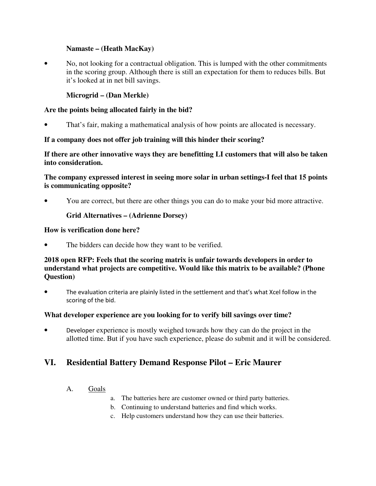# **Namaste – (Heath MacKay)**

• No, not looking for a contractual obligation. This is lumped with the other commitments in the scoring group. Although there is still an expectation for them to reduces bills. But it's looked at in net bill savings.

# **Microgrid – (Dan Merkle)**

# **Are the points being allocated fairly in the bid?**

• That's fair, making a mathematical analysis of how points are allocated is necessary.

# **If a company does not offer job training will this hinder their scoring?**

**If there are other innovative ways they are benefitting LI customers that will also be taken into consideration.** 

**The company expressed interest in seeing more solar in urban settings-I feel that 15 points is communicating opposite?** 

• You are correct, but there are other things you can do to make your bid more attractive.

# **Grid Alternatives – (Adrienne Dorsey)**

### **How is verification done here?**

The bidders can decide how they want to be verified.

# **2018 open RFP: Feels that the scoring matrix is unfair towards developers in order to understand what projects are competitive. Would like this matrix to be available? (Phone Question)**

• The evaluation criteria are plainly listed in the settlement and that's what Xcel follow in the scoring of the bid.

# **What developer experience are you looking for to verify bill savings over time?**

• Developer experience is mostly weighed towards how they can do the project in the allotted time. But if you have such experience, please do submit and it will be considered.

# **VI. Residential Battery Demand Response Pilot – Eric Maurer**

# A. Goals

- a. The batteries here are customer owned or third party batteries.
- b. Continuing to understand batteries and find which works.
- c. Help customers understand how they can use their batteries.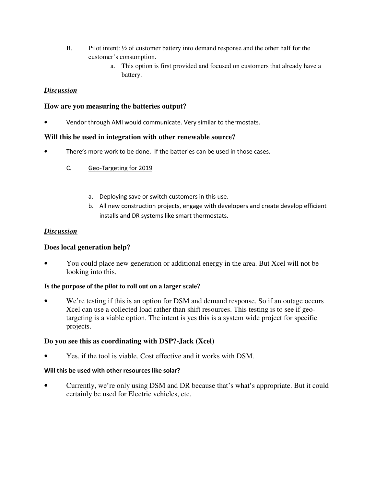- B. Pilot intent: ½ of customer battery into demand response and the other half for the customer's consumption.
	- a. This option is first provided and focused on customers that already have a battery.

### **How are you measuring the batteries output?**

• Vendor through AMI would communicate. Very similar to thermostats.

### **Will this be used in integration with other renewable source?**

- There's more work to be done. If the batteries can be used in those cases.
	- C. Geo-Targeting for 2019
		- a. Deploying save or switch customers in this use.
		- b. All new construction projects, engage with developers and create develop efficient installs and DR systems like smart thermostats.

# *Discussion*

### **Does local generation help?**

• You could place new generation or additional energy in the area. But Xcel will not be looking into this.

#### **Is the purpose of the pilot to roll out on a larger scale?**

We're testing if this is an option for DSM and demand response. So if an outage occurs Xcel can use a collected load rather than shift resources. This testing is to see if geotargeting is a viable option. The intent is yes this is a system wide project for specific projects.

# **Do you see this as coordinating with DSP?-Jack (Xcel)**

• Yes, if the tool is viable. Cost effective and it works with DSM.

#### **Will this be used with other resources like solar?**

• Currently, we're only using DSM and DR because that's what's appropriate. But it could certainly be used for Electric vehicles, etc.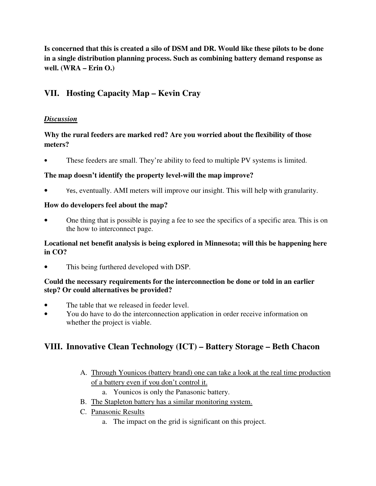**Is concerned that this is created a silo of DSM and DR. Would like these pilots to be done in a single distribution planning process. Such as combining battery demand response as well. (WRA – Erin O.)** 

# **VII. Hosting Capacity Map – Kevin Cray**

# *Discussion*

# **Why the rural feeders are marked red? Are you worried about the flexibility of those meters?**

These feeders are small. They're ability to feed to multiple PV systems is limited.

# **The map doesn't identify the property level-will the map improve?**

• Yes, eventually. AMI meters will improve our insight. This will help with granularity.

# **How do developers feel about the map?**

• One thing that is possible is paying a fee to see the specifics of a specific area. This is on the how to interconnect page.

# **Locational net benefit analysis is being explored in Minnesota; will this be happening here in CO?**

This being furthered developed with DSP.

# **Could the necessary requirements for the interconnection be done or told in an earlier step? Or could alternatives be provided?**

- The table that we released in feeder level.
- You do have to do the interconnection application in order receive information on whether the project is viable.

# **VIII. Innovative Clean Technology (ICT) – Battery Storage – Beth Chacon**

- A. Through Younicos (battery brand) one can take a look at the real time production of a battery even if you don't control it.
	- a. Younicos is only the Panasonic battery.
- B. The Stapleton battery has a similar monitoring system.
- C. Panasonic Results
	- a. The impact on the grid is significant on this project.